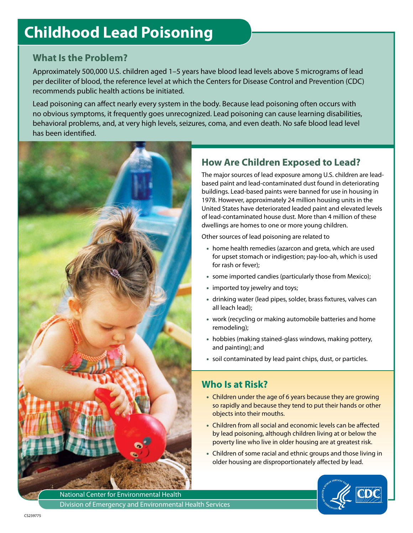# **Childhood Lead Poisoning**

#### **What Is the Problem?**

Approximately 500,000 U.S. children aged 1–5 years have blood lead levels above 5 micrograms of lead per deciliter of blood, the reference level at which the Centers for Disease Control and Prevention (CDC) recommends public health actions be initiated.

Lead poisoning can affect nearly every system in the body. Because lead poisoning often occurs with no obvious symptoms, it frequently goes unrecognized. Lead poisoning can cause learning disabilities, behavioral problems, and, at very high levels, seizures, coma, and even death. No safe blood lead level has been identified.



## **How Are Children Exposed to Lead?**

The major sources of lead exposure among U.S. children are leadbased paint and lead-contaminated dust found in deteriorating buildings. Lead-based paints were banned for use in housing in 1978. However, approximately 24 million housing units in the United States have deteriorated leaded paint and elevated levels of lead-contaminated house dust. More than 4 million of these dwellings are homes to one or more young children.

Other sources of lead poisoning are related to

- home health remedies (azarcon and greta, which are used for upset stomach or indigestion; pay-loo-ah, which is used for rash or fever);
- some imported candies (particularly those from Mexico);
- imported toy jewelry and toys;
- drinking water (lead pipes, solder, brass fixtures, valves can all leach lead);
- work (recycling or making automobile batteries and home remodeling);
- hobbies (making stained-glass windows, making pottery, and painting); and
- soil contaminated by lead paint chips, dust, or particles.

#### **Who Is at Risk?**

- Children under the age of 6 years because they are growing so rapidly and because they tend to put their hands or other objects into their mouths.
- Children from all social and economic levels can be affected by lead poisoning, although children living at or below the poverty line who live in older housing are at greatest risk.
- Children of some racial and ethnic groups and those living in older housing are disproportionately affected by lead.



National Center for Environmental Health Division of Emergency and Environmental Health Services